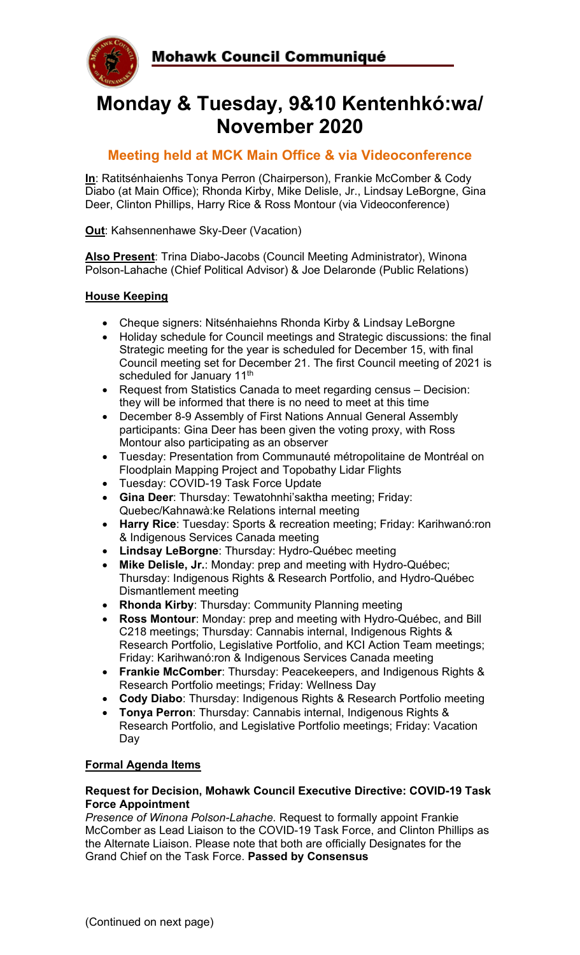

# **Monday & Tuesday, 9&10 Kentenhkó:wa/ November 2020**

# **Meeting held at MCK Main Office & via Videoconference**

**In**: Ratitsénhaienhs Tonya Perron (Chairperson), Frankie McComber & Cody Diabo (at Main Office); Rhonda Kirby, Mike Delisle, Jr., Lindsay LeBorgne, Gina Deer, Clinton Phillips, Harry Rice & Ross Montour (via Videoconference)

**Out**: Kahsennenhawe Sky-Deer (Vacation)

**Also Present**: Trina Diabo-Jacobs (Council Meeting Administrator), Winona Polson-Lahache (Chief Political Advisor) & Joe Delaronde (Public Relations)

# **House Keeping**

- Cheque signers: Nitsénhaiehns Rhonda Kirby & Lindsay LeBorgne
- Holiday schedule for Council meetings and Strategic discussions: the final Strategic meeting for the year is scheduled for December 15, with final Council meeting set for December 21. The first Council meeting of 2021 is scheduled for January 11<sup>th</sup>
- Request from Statistics Canada to meet regarding census Decision: they will be informed that there is no need to meet at this time
- December 8-9 Assembly of First Nations Annual General Assembly participants: Gina Deer has been given the voting proxy, with Ross Montour also participating as an observer
- Tuesday: Presentation from Communauté métropolitaine de Montréal on Floodplain Mapping Project and Topobathy Lidar Flights
- Tuesday: COVID-19 Task Force Update
- **Gina Deer**: Thursday: Tewatohnhi'saktha meeting; Friday: Quebec/Kahnawà:ke Relations internal meeting
- **Harry Rice**: Tuesday: Sports & recreation meeting; Friday: Karihwanó:ron & Indigenous Services Canada meeting
- **Lindsay LeBorgne**: Thursday: Hydro-Québec meeting
- **Mike Delisle, Jr.**: Monday: prep and meeting with Hydro-Québec; Thursday: Indigenous Rights & Research Portfolio, and Hydro-Québec Dismantlement meeting
- **Rhonda Kirby**: Thursday: Community Planning meeting
- **Ross Montour**: Monday: prep and meeting with Hydro-Québec, and Bill C218 meetings; Thursday: Cannabis internal, Indigenous Rights & Research Portfolio, Legislative Portfolio, and KCI Action Team meetings; Friday: Karihwanó:ron & Indigenous Services Canada meeting
- **Frankie McComber**: Thursday: Peacekeepers, and Indigenous Rights & Research Portfolio meetings; Friday: Wellness Day
- **Cody Diabo**: Thursday: Indigenous Rights & Research Portfolio meeting
- **Tonya Perron**: Thursday: Cannabis internal, Indigenous Rights & Research Portfolio, and Legislative Portfolio meetings; Friday: Vacation Day

### **Formal Agenda Items**

#### **Request for Decision, Mohawk Council Executive Directive: COVID-19 Task Force Appointment**

*Presence of Winona Polson-Lahache.* Request to formally appoint Frankie McComber as Lead Liaison to the COVID-19 Task Force, and Clinton Phillips as the Alternate Liaison. Please note that both are officially Designates for the Grand Chief on the Task Force. **Passed by Consensus**